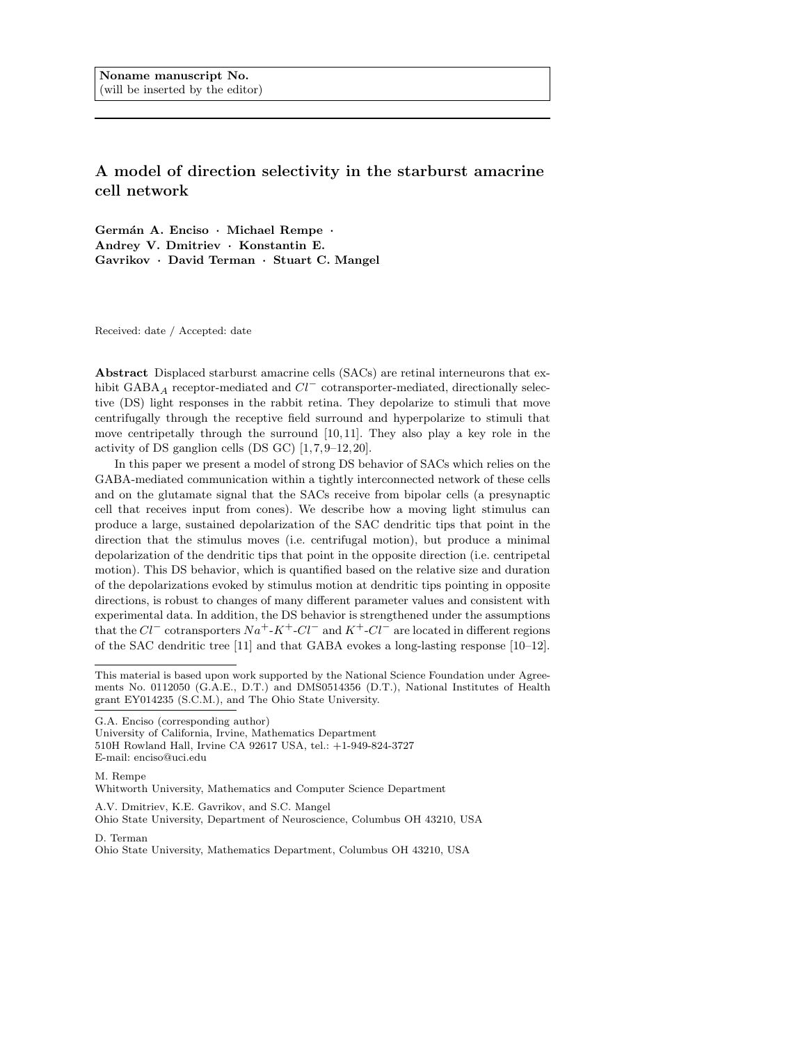A model of direction selectivity in the starburst amacrine cell network

Germán A. Enciso · Michael Rempe · Andrey V. Dmitriev · Konstantin E. Gavrikov · David Terman · Stuart C. Mangel

Received: date / Accepted: date

Abstract Displaced starburst amacrine cells (SACs) are retinal interneurons that exhibit  $GABA_A$  receptor-mediated and  $Cl^-$  cotransporter-mediated, directionally selective (DS) light responses in the rabbit retina. They depolarize to stimuli that move centrifugally through the receptive field surround and hyperpolarize to stimuli that move centripetally through the surround [10, 11]. They also play a key role in the activity of DS ganglion cells (DS GC) [1, 7, 9–12,20].

In this paper we present a model of strong DS behavior of SACs which relies on the GABA-mediated communication within a tightly interconnected network of these cells and on the glutamate signal that the SACs receive from bipolar cells (a presynaptic cell that receives input from cones). We describe how a moving light stimulus can produce a large, sustained depolarization of the SAC dendritic tips that point in the direction that the stimulus moves (i.e. centrifugal motion), but produce a minimal depolarization of the dendritic tips that point in the opposite direction (i.e. centripetal motion). This DS behavior, which is quantified based on the relative size and duration of the depolarizations evoked by stimulus motion at dendritic tips pointing in opposite directions, is robust to changes of many different parameter values and consistent with experimental data. In addition, the DS behavior is strengthened under the assumptions that the  $Cl^-$  cotransporters  $Na^+$ - $K^+$ - $Cl^-$  and  $K^+$ - $Cl^-$  are located in different regions of the SAC dendritic tree [11] and that GABA evokes a long-lasting response [10–12].

G.A. Enciso (corresponding author)

University of California, Irvine, Mathematics Department 510H Rowland Hall, Irvine CA 92617 USA, tel.: +1-949-824-3727 E-mail: enciso@uci.edu

M. Rempe Whitworth University, Mathematics and Computer Science Department

A.V. Dmitriev, K.E. Gavrikov, and S.C. Mangel

Ohio State University, Department of Neuroscience, Columbus OH 43210, USA

D. Terman Ohio State University, Mathematics Department, Columbus OH 43210, USA

This material is based upon work supported by the National Science Foundation under Agreements No. 0112050 (G.A.E., D.T.) and DMS0514356 (D.T.), National Institutes of Health grant EY014235 (S.C.M.), and The Ohio State University.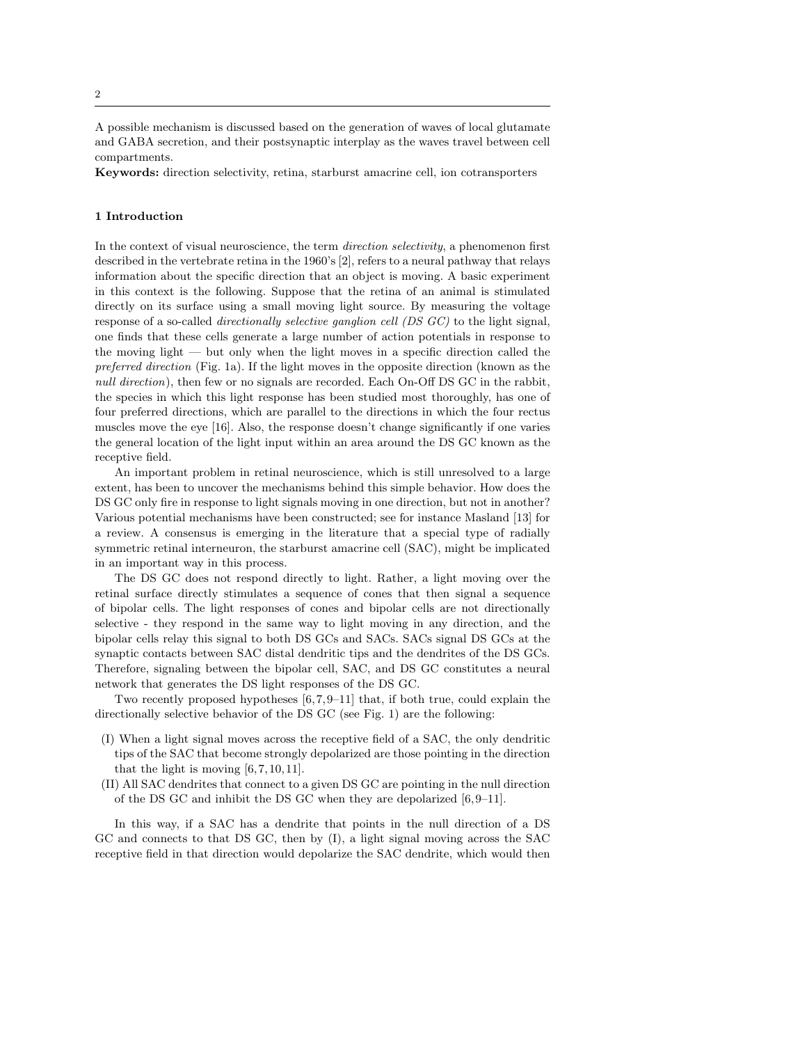A possible mechanism is discussed based on the generation of waves of local glutamate and GABA secretion, and their postsynaptic interplay as the waves travel between cell compartments.

Keywords: direction selectivity, retina, starburst amacrine cell, ion cotransporters

# 1 Introduction

In the context of visual neuroscience, the term *direction selectivity*, a phenomenon first described in the vertebrate retina in the 1960's [2], refers to a neural pathway that relays information about the specific direction that an object is moving. A basic experiment in this context is the following. Suppose that the retina of an animal is stimulated directly on its surface using a small moving light source. By measuring the voltage response of a so-called directionally selective ganglion cell (DS GC) to the light signal, one finds that these cells generate a large number of action potentials in response to the moving light — but only when the light moves in a specific direction called the preferred direction (Fig. 1a). If the light moves in the opposite direction (known as the null direction), then few or no signals are recorded. Each On-Off DS GC in the rabbit, the species in which this light response has been studied most thoroughly, has one of four preferred directions, which are parallel to the directions in which the four rectus muscles move the eye [16]. Also, the response doesn't change significantly if one varies the general location of the light input within an area around the DS GC known as the receptive field.

An important problem in retinal neuroscience, which is still unresolved to a large extent, has been to uncover the mechanisms behind this simple behavior. How does the DS GC only fire in response to light signals moving in one direction, but not in another? Various potential mechanisms have been constructed; see for instance Masland [13] for a review. A consensus is emerging in the literature that a special type of radially symmetric retinal interneuron, the starburst amacrine cell (SAC), might be implicated in an important way in this process.

The DS GC does not respond directly to light. Rather, a light moving over the retinal surface directly stimulates a sequence of cones that then signal a sequence of bipolar cells. The light responses of cones and bipolar cells are not directionally selective - they respond in the same way to light moving in any direction, and the bipolar cells relay this signal to both DS GCs and SACs. SACs signal DS GCs at the synaptic contacts between SAC distal dendritic tips and the dendrites of the DS GCs. Therefore, signaling between the bipolar cell, SAC, and DS GC constitutes a neural network that generates the DS light responses of the DS GC.

Two recently proposed hypotheses  $[6, 7, 9-11]$  that, if both true, could explain the directionally selective behavior of the DS GC (see Fig. 1) are the following:

- (I) When a light signal moves across the receptive field of a SAC, the only dendritic tips of the SAC that become strongly depolarized are those pointing in the direction that the light is moving  $[6, 7, 10, 11]$ .
- (II) All SAC dendrites that connect to a given DS GC are pointing in the null direction of the DS GC and inhibit the DS GC when they are depolarized [6, 9–11].

In this way, if a SAC has a dendrite that points in the null direction of a DS GC and connects to that DS GC, then by (I), a light signal moving across the SAC receptive field in that direction would depolarize the SAC dendrite, which would then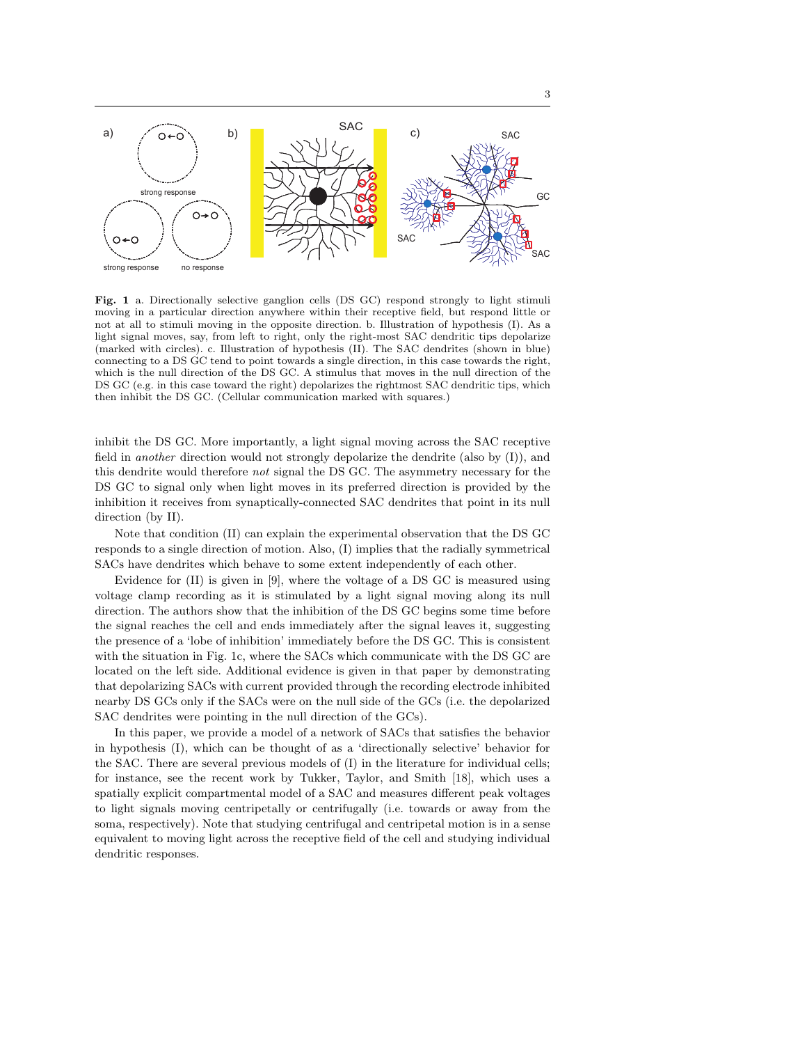

Fig. 1 a. Directionally selective ganglion cells (DS GC) respond strongly to light stimuli moving in a particular direction anywhere within their receptive field, but respond little or not at all to stimuli moving in the opposite direction. b. Illustration of hypothesis (I). As a light signal moves, say, from left to right, only the right-most SAC dendritic tips depolarize (marked with circles). c. Illustration of hypothesis (II). The SAC dendrites (shown in blue) connecting to a DS GC tend to point towards a single direction, in this case towards the right, which is the null direction of the DS GC. A stimulus that moves in the null direction of the DS GC (e.g. in this case toward the right) depolarizes the rightmost SAC dendritic tips, which then inhibit the DS GC. (Cellular communication marked with squares.)

inhibit the DS GC. More importantly, a light signal moving across the SAC receptive field in another direction would not strongly depolarize the dendrite (also by (I)), and this dendrite would therefore not signal the DS GC. The asymmetry necessary for the DS GC to signal only when light moves in its preferred direction is provided by the inhibition it receives from synaptically-connected SAC dendrites that point in its null direction (by II).

Note that condition (II) can explain the experimental observation that the DS GC responds to a single direction of motion. Also, (I) implies that the radially symmetrical SACs have dendrites which behave to some extent independently of each other.

Evidence for (II) is given in [9], where the voltage of a DS GC is measured using voltage clamp recording as it is stimulated by a light signal moving along its null direction. The authors show that the inhibition of the DS GC begins some time before the signal reaches the cell and ends immediately after the signal leaves it, suggesting the presence of a 'lobe of inhibition' immediately before the DS GC. This is consistent with the situation in Fig. 1c, where the SACs which communicate with the DS GC are located on the left side. Additional evidence is given in that paper by demonstrating that depolarizing SACs with current provided through the recording electrode inhibited nearby DS GCs only if the SACs were on the null side of the GCs (i.e. the depolarized SAC dendrites were pointing in the null direction of the GCs).

In this paper, we provide a model of a network of SACs that satisfies the behavior in hypothesis (I), which can be thought of as a 'directionally selective' behavior for the SAC. There are several previous models of (I) in the literature for individual cells; for instance, see the recent work by Tukker, Taylor, and Smith [18], which uses a spatially explicit compartmental model of a SAC and measures different peak voltages to light signals moving centripetally or centrifugally (i.e. towards or away from the soma, respectively). Note that studying centrifugal and centripetal motion is in a sense equivalent to moving light across the receptive field of the cell and studying individual dendritic responses.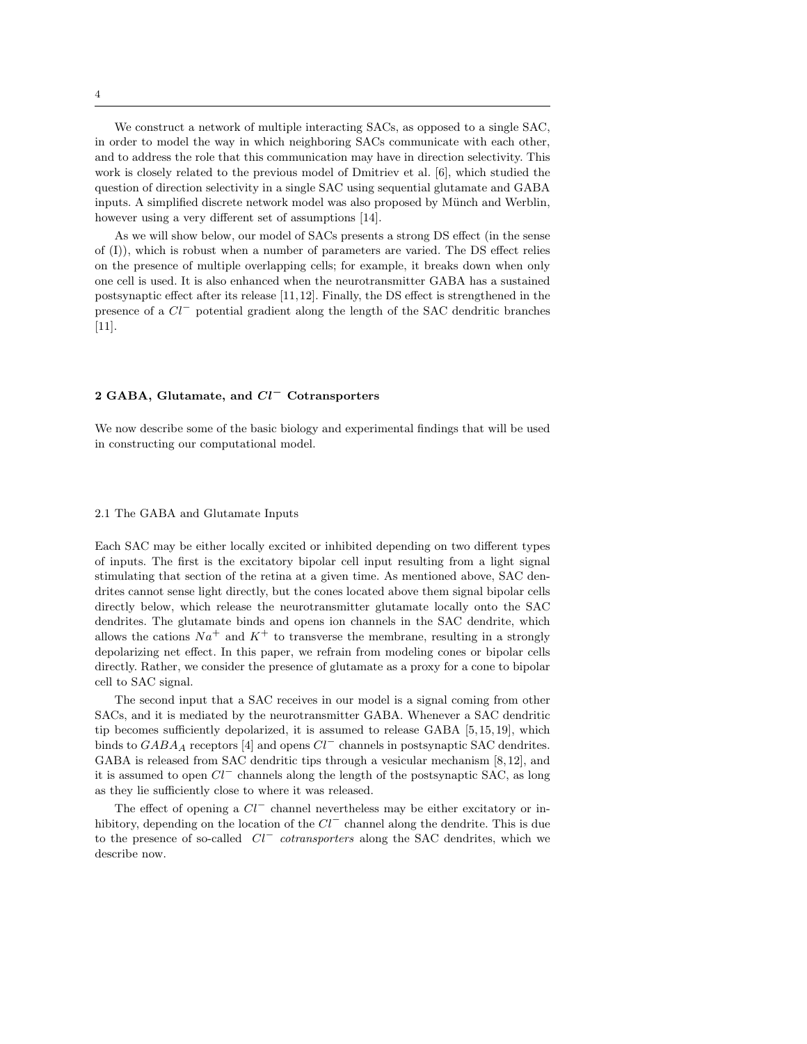We construct a network of multiple interacting SACs, as opposed to a single SAC, in order to model the way in which neighboring SACs communicate with each other, and to address the role that this communication may have in direction selectivity. This work is closely related to the previous model of Dmitriev et al. [6], which studied the question of direction selectivity in a single SAC using sequential glutamate and GABA inputs. A simplified discrete network model was also proposed by Münch and Werblin, however using a very different set of assumptions [14].

As we will show below, our model of SACs presents a strong DS effect (in the sense of (I)), which is robust when a number of parameters are varied. The DS effect relies on the presence of multiple overlapping cells; for example, it breaks down when only one cell is used. It is also enhanced when the neurotransmitter GABA has a sustained postsynaptic effect after its release [11,12]. Finally, the DS effect is strengthened in the presence of a Cl<sup>−</sup> potential gradient along the length of the SAC dendritic branches [11].

# 2 GABA, Glutamate, and  $Cl$ <sup>−</sup> Cotransporters

We now describe some of the basic biology and experimental findings that will be used in constructing our computational model.

# 2.1 The GABA and Glutamate Inputs

Each SAC may be either locally excited or inhibited depending on two different types of inputs. The first is the excitatory bipolar cell input resulting from a light signal stimulating that section of the retina at a given time. As mentioned above, SAC dendrites cannot sense light directly, but the cones located above them signal bipolar cells directly below, which release the neurotransmitter glutamate locally onto the SAC dendrites. The glutamate binds and opens ion channels in the SAC dendrite, which allows the cations  $Na^+$  and  $K^+$  to transverse the membrane, resulting in a strongly depolarizing net effect. In this paper, we refrain from modeling cones or bipolar cells directly. Rather, we consider the presence of glutamate as a proxy for a cone to bipolar cell to SAC signal.

The second input that a SAC receives in our model is a signal coming from other SACs, and it is mediated by the neurotransmitter GABA. Whenever a SAC dendritic tip becomes sufficiently depolarized, it is assumed to release GABA [5, 15,19], which binds to  $GABA_A$  receptors [4] and opens  $Cl^-$  channels in postsynaptic SAC dendrites. GABA is released from SAC dendritic tips through a vesicular mechanism [8, 12], and it is assumed to open  $Cl^-$  channels along the length of the postsynaptic SAC, as long as they lie sufficiently close to where it was released.

The effect of opening a  $Cl^-$  channel nevertheless may be either excitatory or inhibitory, depending on the location of the  $Cl^-$  channel along the dendrite. This is due to the presence of so-called Cl<sup>−</sup> cotransporters along the SAC dendrites, which we describe now.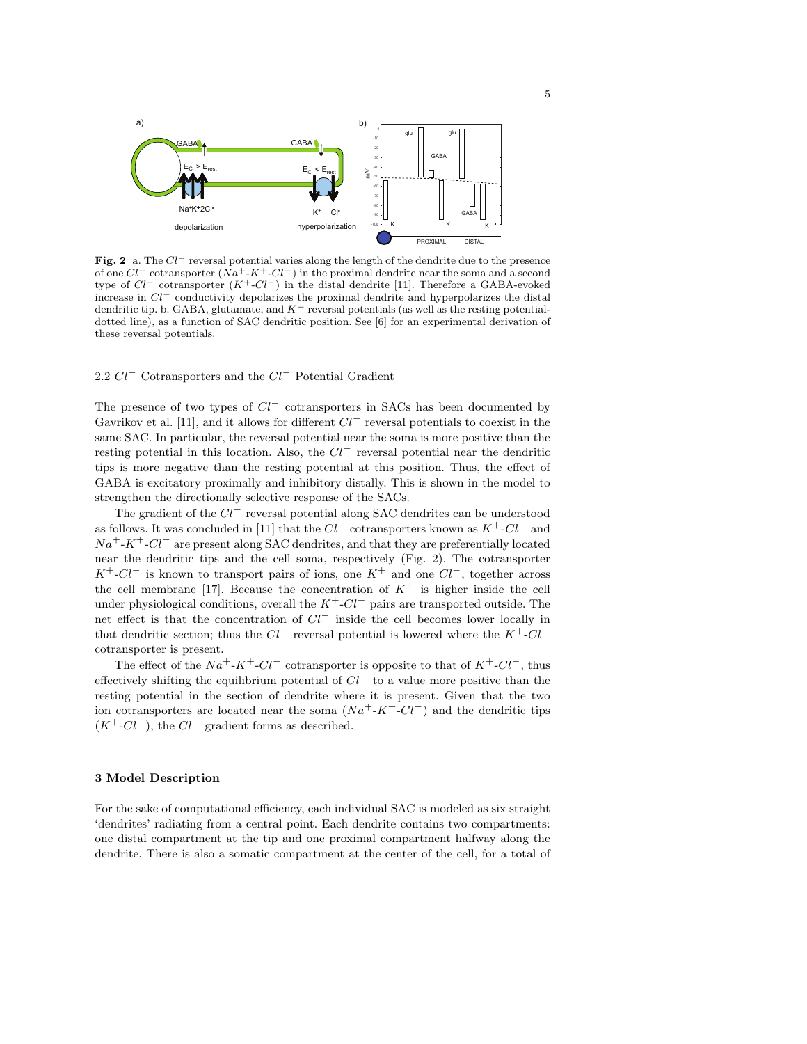

Fig. 2 a. The  $Cl^-$  reversal potential varies along the length of the dendrite due to the presence of one  $Cl^-$  cotransporter  $(Na^+ - K^+ - Cl^-)$  in the proximal dendrite near the soma and a second type of  $Cl^-$  cotransporter  $(K^+ \text{-} Cl^-)$  in the distal dendrite [11]. Therefore a GABA-evoked increase in Cl<sup>−</sup> conductivity depolarizes the proximal dendrite and hyperpolarizes the distal dendritic tip. b. GABA, glutamate, and  $K^+$  reversal potentials (as well as the resting potentialdotted line), as a function of SAC dendritic position. See [6] for an experimental derivation of these reversal potentials.

2.2  $Cl<sup>−</sup>$  Cotransporters and the  $Cl<sup>−</sup>$  Potential Gradient

The presence of two types of  $Cl^-$  cotransporters in SACs has been documented by Gavrikov et al. [11], and it allows for different  $Cl^-$  reversal potentials to coexist in the same SAC. In particular, the reversal potential near the soma is more positive than the resting potential in this location. Also, the  $Cl^-$  reversal potential near the dendritic tips is more negative than the resting potential at this position. Thus, the effect of GABA is excitatory proximally and inhibitory distally. This is shown in the model to strengthen the directionally selective response of the SACs.

The gradient of the  $Cl^-$  reversal potential along SAC dendrites can be understood as follows. It was concluded in [11] that the  $Cl^-$  cotransporters known as  $K^+$ - $Cl^-$  and  $Na^+$ -K<sup>+</sup>-Cl<sup>−</sup> are present along SAC dendrites, and that they are preferentially located near the dendritic tips and the cell soma, respectively (Fig. 2). The cotransporter  $K^+$ - $Cl^-$  is known to transport pairs of ions, one  $K^+$  and one  $Cl^-$ , together across the cell membrane [17]. Because the concentration of  $K^+$  is higher inside the cell under physiological conditions, overall the  $K^+$ - $Cl^-$  pairs are transported outside. The net effect is that the concentration of Cl<sup>−</sup> inside the cell becomes lower locally in that dendritic section; thus the  $Cl^-$  reversal potential is lowered where the  $K^+$ - $Cl^$ cotransporter is present.

The effect of the  $Na^+$ - $K^+$ - $Cl^-$  cotransporter is opposite to that of  $K^+$ - $Cl^-$ , thus effectively shifting the equilibrium potential of  $Cl^-$  to a value more positive than the resting potential in the section of dendrite where it is present. Given that the two ion cotransporters are located near the soma  $(Na^+ - K^+ - Cl^-)$  and the dendritic tips  $(K^+$ - $Cl^-$ ), the  $Cl^-$  gradient forms as described.

#### 3 Model Description

For the sake of computational efficiency, each individual SAC is modeled as six straight 'dendrites' radiating from a central point. Each dendrite contains two compartments: one distal compartment at the tip and one proximal compartment halfway along the dendrite. There is also a somatic compartment at the center of the cell, for a total of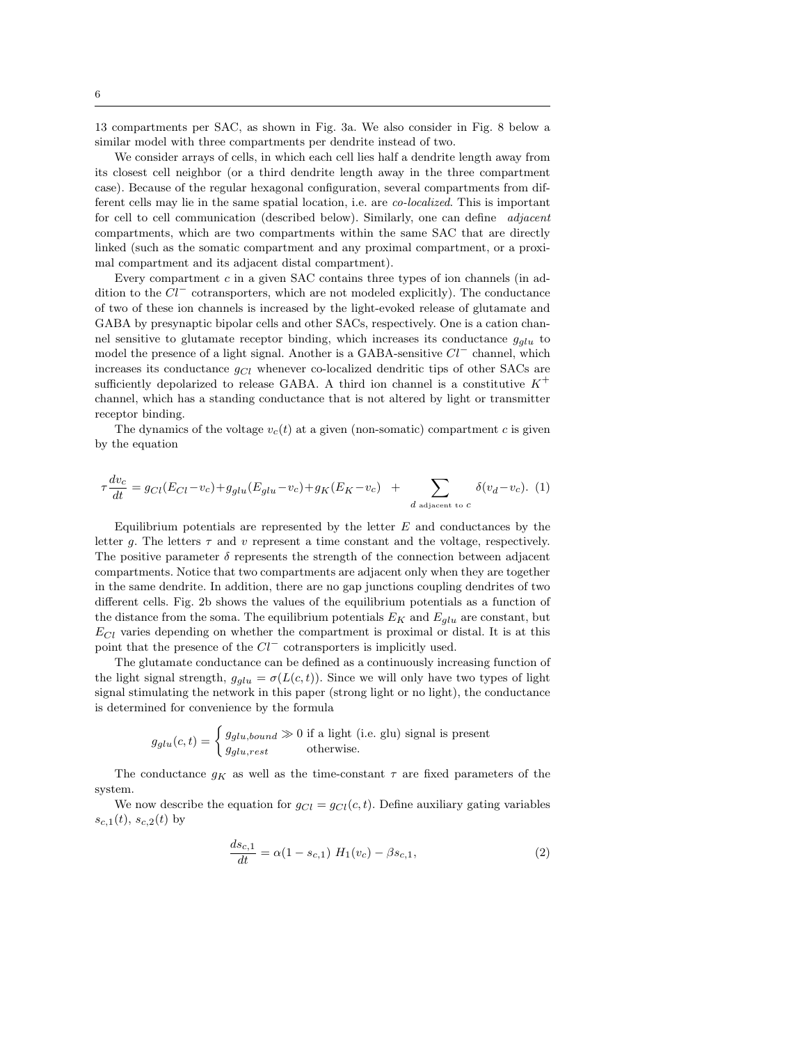13 compartments per SAC, as shown in Fig. 3a. We also consider in Fig. 8 below a similar model with three compartments per dendrite instead of two.

We consider arrays of cells, in which each cell lies half a dendrite length away from its closest cell neighbor (or a third dendrite length away in the three compartment case). Because of the regular hexagonal configuration, several compartments from different cells may lie in the same spatial location, i.e. are co-localized. This is important for cell to cell communication (described below). Similarly, one can define adjacent compartments, which are two compartments within the same SAC that are directly linked (such as the somatic compartment and any proximal compartment, or a proximal compartment and its adjacent distal compartment).

Every compartment c in a given SAC contains three types of ion channels (in addition to the  $Cl^-$  cotransporters, which are not modeled explicitly). The conductance of two of these ion channels is increased by the light-evoked release of glutamate and GABA by presynaptic bipolar cells and other SACs, respectively. One is a cation channel sensitive to glutamate receptor binding, which increases its conductance  $g_{\text{glu}}$  to model the presence of a light signal. Another is a GABA-sensitive  $Cl<sup>-</sup>$  channel, which increases its conductance  $g_{Cl}$  whenever co-localized dendritic tips of other SACs are sufficiently depolarized to release GABA. A third ion channel is a constitutive  $K^+$ channel, which has a standing conductance that is not altered by light or transmitter receptor binding.

The dynamics of the voltage  $v_c(t)$  at a given (non-somatic) compartment c is given by the equation

$$
\tau \frac{dv_c}{dt} = g_{Cl}(E_{Cl} - v_c) + g_{glu}(E_{glu} - v_c) + g_K(E_K - v_c) + \sum_{d \text{ adjacent to } c} \delta(v_d - v_c). \tag{1}
$$

Equilibrium potentials are represented by the letter  $E$  and conductances by the letter q. The letters  $\tau$  and v represent a time constant and the voltage, respectively. The positive parameter  $\delta$  represents the strength of the connection between adjacent compartments. Notice that two compartments are adjacent only when they are together in the same dendrite. In addition, there are no gap junctions coupling dendrites of two different cells. Fig. 2b shows the values of the equilibrium potentials as a function of the distance from the soma. The equilibrium potentials  $E_K$  and  $E_{glu}$  are constant, but  $E_{Cl}$  varies depending on whether the compartment is proximal or distal. It is at this point that the presence of the  $Cl^-$  cotransporters is implicitly used.

The glutamate conductance can be defined as a continuously increasing function of the light signal strength,  $g_{glu} = \sigma(L(c, t))$ . Since we will only have two types of light signal stimulating the network in this paper (strong light or no light), the conductance is determined for convenience by the formula

$$
g_{glu}(c,t) = \begin{cases} g_{glu,bound} \gg 0 \text{ if a light (i.e. glu) signal is present} \\ g_{glu,rest} \end{cases}
$$
 otherwise.

The conductance  $g_K$  as well as the time-constant  $\tau$  are fixed parameters of the system.

We now describe the equation for  $g_{Cl} = g_{Cl}(c, t)$ . Define auxiliary gating variables  $s_{c,1}(t)$ ,  $s_{c,2}(t)$  by

$$
\frac{ds_{c,1}}{dt} = \alpha (1 - s_{c,1}) H_1(v_c) - \beta s_{c,1},
$$
\n(2)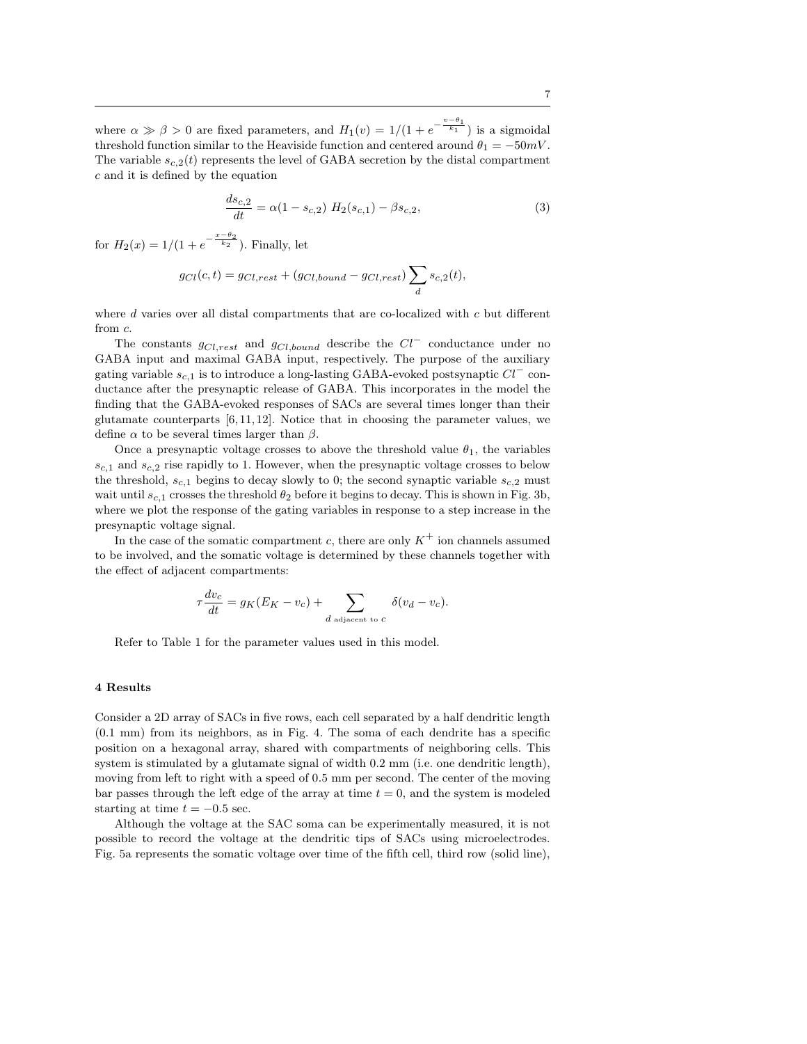where  $\alpha \gg \beta > 0$  are fixed parameters, and  $H_1(v) = 1/(1 + e^{-\frac{v - \theta_1}{k_1}})$  is a sigmoidal threshold function similar to the Heaviside function and centered around  $\theta_1 = -50mV$ . The variable  $s_{c,2}(t)$  represents the level of GABA secretion by the distal compartment c and it is defined by the equation

$$
\frac{ds_{c,2}}{dt} = \alpha (1 - s_{c,2}) H_2(s_{c,1}) - \beta s_{c,2},
$$
\n(3)

for  $H_2(x) = 1/(1 + e^{-\frac{x - \theta_2}{k_2}})$ . Finally, let

$$
g_{Cl}(c,t) = g_{Cl,rest} + (g_{Cl,bound} - g_{Cl,rest}) \sum_{d} s_{c,2}(t),
$$

where  $d$  varies over all distal compartments that are co-localized with  $c$  but different from c.

The constants  $g_{Cl,rest}$  and  $g_{Cl,bound}$  describe the  $Cl^-$  conductance under no GABA input and maximal GABA input, respectively. The purpose of the auxiliary gating variable  $s_{c,1}$  is to introduce a long-lasting GABA-evoked postsynaptic  $Cl<sup>-</sup>$  conductance after the presynaptic release of GABA. This incorporates in the model the finding that the GABA-evoked responses of SACs are several times longer than their glutamate counterparts  $[6, 11, 12]$ . Notice that in choosing the parameter values, we define  $\alpha$  to be several times larger than  $\beta$ .

Once a presynaptic voltage crosses to above the threshold value  $\theta_1$ , the variables  $s_{c,1}$  and  $s_{c,2}$  rise rapidly to 1. However, when the presynaptic voltage crosses to below the threshold,  $s_{c,1}$  begins to decay slowly to 0; the second synaptic variable  $s_{c,2}$  must wait until  $s_{c,1}$  crosses the threshold  $\theta_2$  before it begins to decay. This is shown in Fig. 3b, where we plot the response of the gating variables in response to a step increase in the presynaptic voltage signal.

In the case of the somatic compartment c, there are only  $K^+$  ion channels assumed to be involved, and the somatic voltage is determined by these channels together with the effect of adjacent compartments:

$$
\tau \frac{dv_c}{dt} = g_K(E_K - v_c) + \sum_{d \text{ adjacent to } c} \delta(v_d - v_c).
$$

Refer to Table 1 for the parameter values used in this model.

## 4 Results

Consider a 2D array of SACs in five rows, each cell separated by a half dendritic length (0.1 mm) from its neighbors, as in Fig. 4. The soma of each dendrite has a specific position on a hexagonal array, shared with compartments of neighboring cells. This system is stimulated by a glutamate signal of width 0.2 mm (i.e. one dendritic length), moving from left to right with a speed of 0.5 mm per second. The center of the moving bar passes through the left edge of the array at time  $t = 0$ , and the system is modeled starting at time  $t = -0.5$  sec.

Although the voltage at the SAC soma can be experimentally measured, it is not possible to record the voltage at the dendritic tips of SACs using microelectrodes. Fig. 5a represents the somatic voltage over time of the fifth cell, third row (solid line),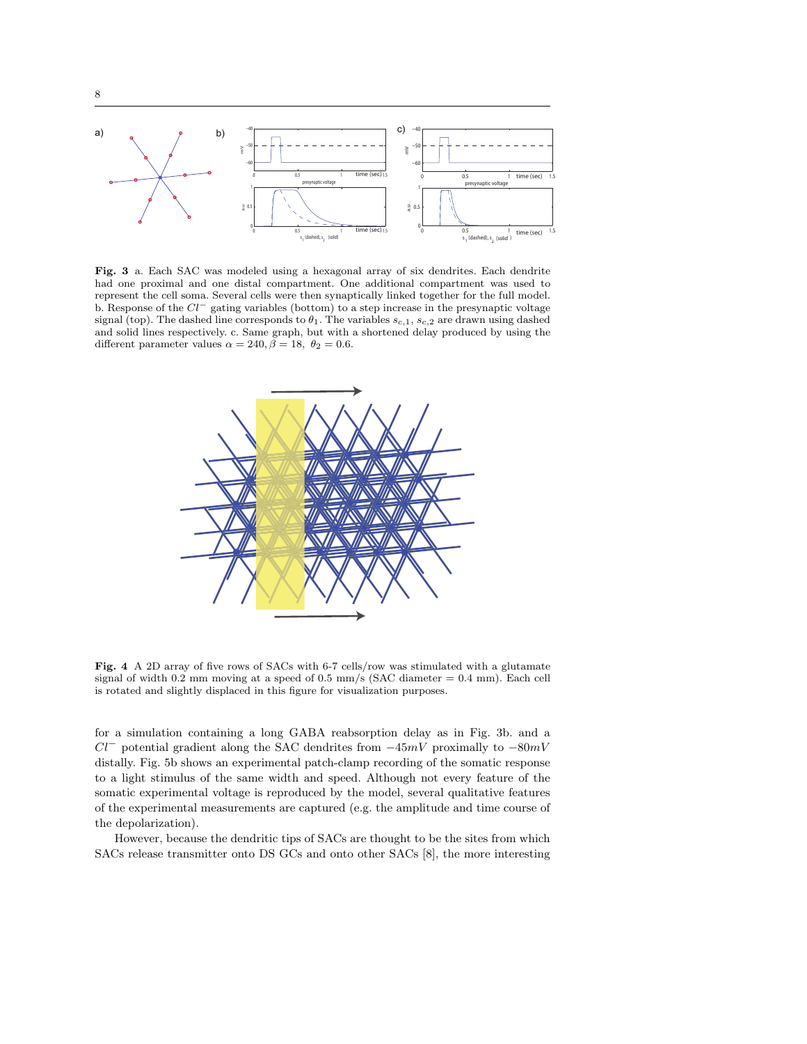

Fig. 3 a. Each SAC was modeled using a hexagonal array of six dendrites. Each dendrite had one proximal and one distal compartment. One additional compartment was used to represent the cell soma. Several cells were then synaptically linked together for the full model. b. Response of the Cl<sup>−</sup> gating variables (bottom) to a step increase in the presynaptic voltage signal (top). The dashed line corresponds to  $\theta_1$ . The variables  $s_{c,1}$ ,  $s_{c,2}$  are drawn using dashed and solid lines respectively. c. Same graph, but with a shortened delay produced by using the different parameter values  $\alpha = 240, \beta = 18, \theta_2 = 0.6$ .



Fig. 4 A 2D array of five rows of SACs with 6-7 cells/row was stimulated with a glutamate signal of width 0.2 mm moving at a speed of 0.5 mm/s (SAC diameter  $= 0.4$  mm). Each cell is rotated and slightly displaced in this figure for visualization purposes.

for a simulation containing a long GABA reabsorption delay as in Fig. 3b. and a  $Cl^-$  potential gradient along the SAC dendrites from  $-45mV$  proximally to  $-80mV$ distally. Fig. 5b shows an experimental patch-clamp recording of the somatic response to a light stimulus of the same width and speed. Although not every feature of the somatic experimental voltage is reproduced by the model, several qualitative features of the experimental measurements are captured (e.g. the amplitude and time course of the depolarization).

However, because the dendritic tips of SACs are thought to be the sites from which SACs release transmitter onto DS GCs and onto other SACs [8], the more interesting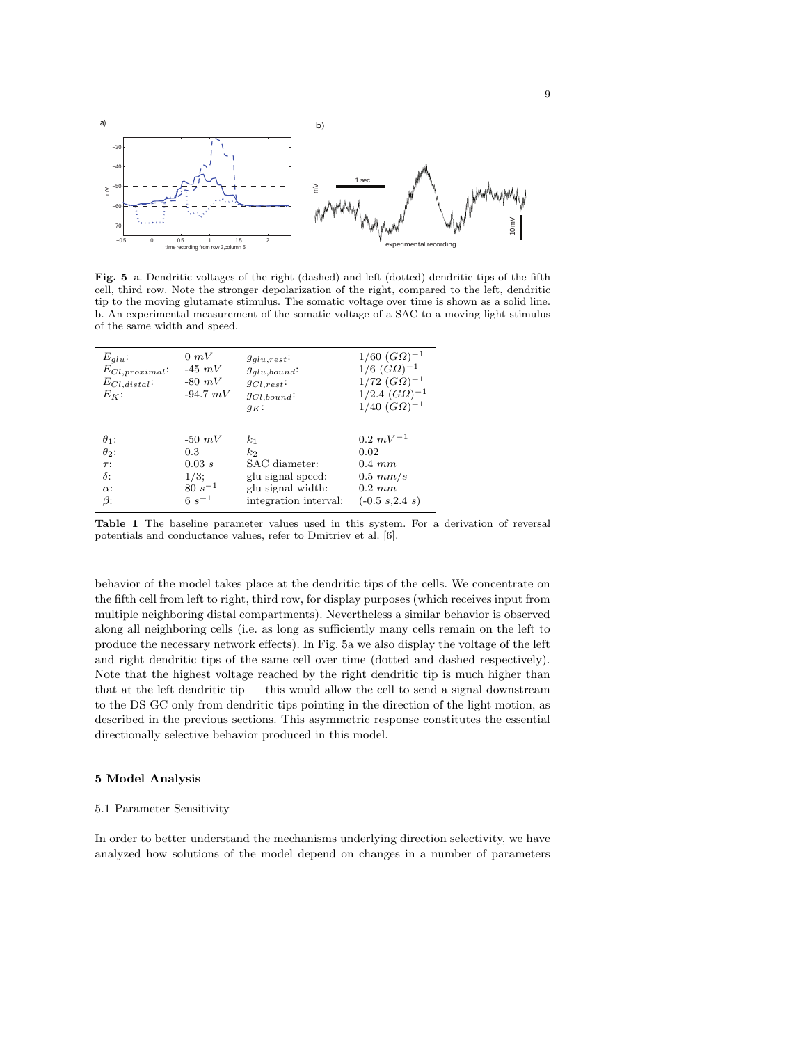

Fig. 5 a. Dendritic voltages of the right (dashed) and left (dotted) dendritic tips of the fifth cell, third row. Note the stronger depolarization of the right, compared to the left, dendritic tip to the moving glutamate stimulus. The somatic voltage over time is shown as a solid line. b. An experimental measurement of the somatic voltage of a SAC to a moving light stimulus of the same width and speed.

| $E_{glu}$ :<br>$E_{Cl, proximal}$ :<br>$E_{Cl,distal}$ :<br>$E_K$ : | $0 \, \mathrm{mV}$<br>$-45$ $mV$<br>-80 $mV$<br>$-94.7~mV$ | $g_{glu,rest}$<br>$g_{glu, bound}$ .<br>$g_{Cl,rest}$ :<br>$g_{Cl,bound}$ :<br>$g_K$ : | $1/60~(G\Omega)^{-1}$<br>$1/6~(G\Omega)^{-1}$<br>$1/72~(G\Omega)^{-1}$<br>$1/2.4~(G\Omega)^{-1}$<br>$1/40~(G\Omega)^{-1}$ |
|---------------------------------------------------------------------|------------------------------------------------------------|----------------------------------------------------------------------------------------|---------------------------------------------------------------------------------------------------------------------------|
| $\theta_1$ :                                                        | $-50~mV$                                                   | k <sub>1</sub>                                                                         | $0.2 \ mV^{-1}$                                                                                                           |
| $\theta_2$ :                                                        | 0.3                                                        | k <sub>2</sub>                                                                         | 0.02                                                                                                                      |
| $\tau$ :                                                            | 0.03 s                                                     | SAC diameter:                                                                          | $0.4 \;mm$                                                                                                                |
| $\delta$ :                                                          | 1/3;                                                       | glu signal speed:                                                                      | $0.5 \; mm/s$                                                                                                             |
| $\alpha$ :                                                          | $80 s^{-1}$                                                | glu signal width:                                                                      | $0.2 \;mm$                                                                                                                |
| $\beta$ :                                                           | $6s^{-1}$                                                  | integration interval:                                                                  | $(-0.5 s, 2.4 s)$                                                                                                         |

Table 1 The baseline parameter values used in this system. For a derivation of reversal potentials and conductance values, refer to Dmitriev et al. [6].

behavior of the model takes place at the dendritic tips of the cells. We concentrate on the fifth cell from left to right, third row, for display purposes (which receives input from multiple neighboring distal compartments). Nevertheless a similar behavior is observed along all neighboring cells (i.e. as long as sufficiently many cells remain on the left to produce the necessary network effects). In Fig. 5a we also display the voltage of the left and right dendritic tips of the same cell over time (dotted and dashed respectively). Note that the highest voltage reached by the right dendritic tip is much higher than that at the left dendritic tip — this would allow the cell to send a signal downstream to the DS GC only from dendritic tips pointing in the direction of the light motion, as described in the previous sections. This asymmetric response constitutes the essential directionally selective behavior produced in this model.

#### 5 Model Analysis

#### 5.1 Parameter Sensitivity

In order to better understand the mechanisms underlying direction selectivity, we have analyzed how solutions of the model depend on changes in a number of parameters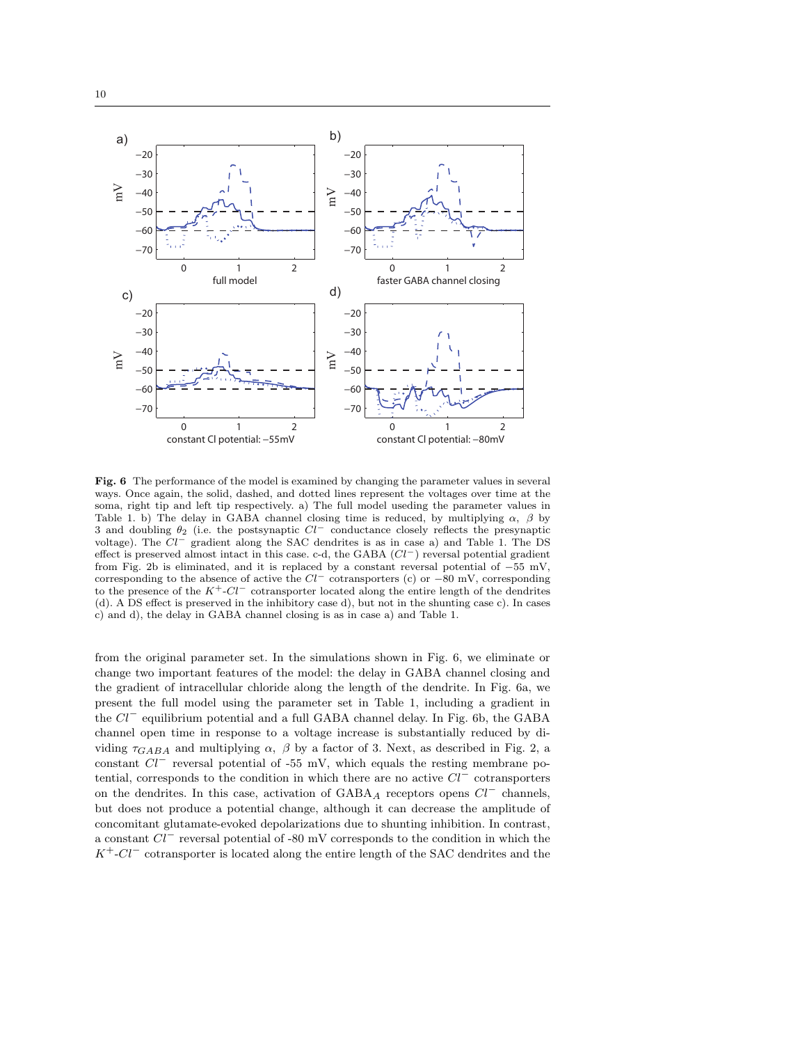

Fig. 6 The performance of the model is examined by changing the parameter values in several ways. Once again, the solid, dashed, and dotted lines represent the voltages over time at the soma, right tip and left tip respectively. a) The full model useding the parameter values in Table 1. b) The delay in GABA channel closing time is reduced, by multiplying  $\alpha$ ,  $\beta$  by 3 and doubling  $\theta_2$  (i.e. the postsynaptic  $Cl^-$  conductance closely reflects the presynaptic voltage). The Cl<sup>−</sup> gradient along the SAC dendrites is as in case a) and Table 1. The DS effect is preserved almost intact in this case. c-d, the GABA  $(Cl^-)$  reversal potential gradient from Fig. 2b is eliminated, and it is replaced by a constant reversal potential of −55 mV, corresponding to the absence of active the  $Cl^-$  cotransporters (c) or  $-80$  mV, corresponding to the presence of the  $K^+$ -Cl<sup>−</sup> cotransporter located along the entire length of the dendrites (d). A DS effect is preserved in the inhibitory case d), but not in the shunting case c). In cases c) and d), the delay in GABA channel closing is as in case a) and Table 1.

from the original parameter set. In the simulations shown in Fig. 6, we eliminate or change two important features of the model: the delay in GABA channel closing and the gradient of intracellular chloride along the length of the dendrite. In Fig. 6a, we present the full model using the parameter set in Table 1, including a gradient in the Cl<sup>−</sup> equilibrium potential and a full GABA channel delay. In Fig. 6b, the GABA channel open time in response to a voltage increase is substantially reduced by dividing  $\tau_{GABA}$  and multiplying  $\alpha$ ,  $\beta$  by a factor of 3. Next, as described in Fig. 2, a constant  $Cl^-$  reversal potential of -55 mV, which equals the resting membrane potential, corresponds to the condition in which there are no active Cl<sup>−</sup> cotransporters on the dendrites. In this case, activation of  $GABA_A$  receptors opens  $Cl^-$  channels, but does not produce a potential change, although it can decrease the amplitude of concomitant glutamate-evoked depolarizations due to shunting inhibition. In contrast, a constant Cl<sup>−</sup> reversal potential of -80 mV corresponds to the condition in which the  $K^+$ - $Cl^-$  cotransporter is located along the entire length of the SAC dendrites and the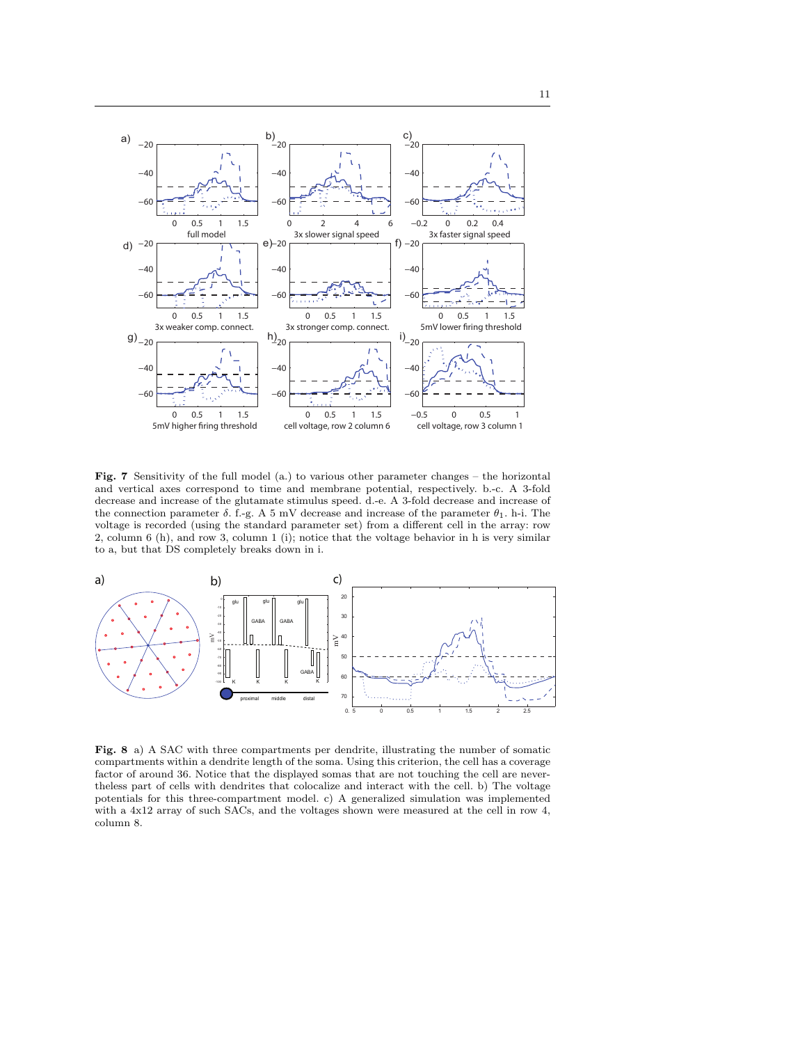

Fig. 7 Sensitivity of the full model (a.) to various other parameter changes – the horizontal and vertical axes correspond to time and membrane potential, respectively. b.-c. A 3-fold decrease and increase of the glutamate stimulus speed. d.-e. A 3-fold decrease and increase of the connection parameter  $\delta$ . f.-g. A 5 mV decrease and increase of the parameter  $\theta_1$ . h-i. The voltage is recorded (using the standard parameter set) from a different cell in the array: row 2, column 6 (h), and row 3, column 1 (i); notice that the voltage behavior in h is very similar to a, but that DS completely breaks down in i.



Fig. 8 a) A SAC with three compartments per dendrite, illustrating the number of somatic compartments within a dendrite length of the soma. Using this criterion, the cell has a coverage factor of around 36. Notice that the displayed somas that are not touching the cell are nevertheless part of cells with dendrites that colocalize and interact with the cell. b) The voltage potentials for this three-compartment model. c) A generalized simulation was implemented with a 4x12 array of such SACs, and the voltages shown were measured at the cell in row 4, column 8.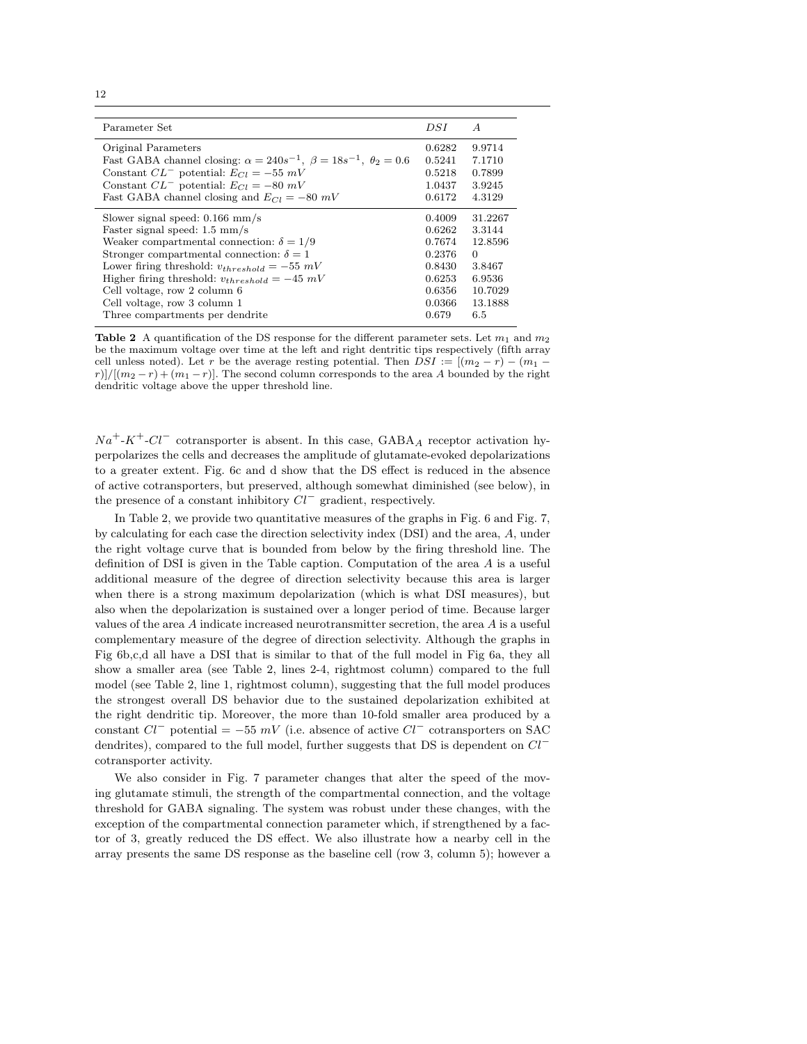| DSI    | $\overline{A}$ |
|--------|----------------|
| 0.6282 | 9.9714         |
| 0.5241 | 7.1710         |
| 0.5218 | 0.7899         |
| 1.0437 | 3.9245         |
| 0.6172 | 4.3129         |
| 0.4009 | 31.2267        |
| 0.6262 | 3.3144         |
| 0.7674 | 12.8596        |
| 0.2376 | $\Omega$       |
| 0.8430 | 3.8467         |
| 0.6253 | 6.9536         |
| 0.6356 | 10.7029        |
| 0.0366 | 13.1888        |
| 0.679  | 6.5            |
|        |                |

12

**Table 2** A quantification of the DS response for the different parameter sets. Let  $m_1$  and  $m_2$ be the maximum voltage over time at the left and right dentritic tips respectively (fifth array cell unless noted). Let r be the average resting potential. Then  $DSI := [(m_2 - r) - (m_1$  $r$ )/ $[(m_2 - r) + (m_1 - r)]$ . The second column corresponds to the area A bounded by the right dendritic voltage above the upper threshold line.

 $Na^+$ -K<sup>+</sup>-Cl<sup>−</sup> cotransporter is absent. In this case, GABA<sub>A</sub> receptor activation hyperpolarizes the cells and decreases the amplitude of glutamate-evoked depolarizations to a greater extent. Fig. 6c and d show that the DS effect is reduced in the absence of active cotransporters, but preserved, although somewhat diminished (see below), in the presence of a constant inhibitory  $Cl^-$  gradient, respectively.

In Table 2, we provide two quantitative measures of the graphs in Fig. 6 and Fig. 7, by calculating for each case the direction selectivity index (DSI) and the area, A, under the right voltage curve that is bounded from below by the firing threshold line. The definition of DSI is given in the Table caption. Computation of the area A is a useful additional measure of the degree of direction selectivity because this area is larger when there is a strong maximum depolarization (which is what DSI measures), but also when the depolarization is sustained over a longer period of time. Because larger values of the area A indicate increased neurotransmitter secretion, the area A is a useful complementary measure of the degree of direction selectivity. Although the graphs in Fig 6b,c,d all have a DSI that is similar to that of the full model in Fig 6a, they all show a smaller area (see Table 2, lines 2-4, rightmost column) compared to the full model (see Table 2, line 1, rightmost column), suggesting that the full model produces the strongest overall DS behavior due to the sustained depolarization exhibited at the right dendritic tip. Moreover, the more than 10-fold smaller area produced by a constant  $Cl^-$  potential = −55 mV (i.e. absence of active  $Cl^-$  cotransporters on SAC dendrites), compared to the full model, further suggests that DS is dependent on  $Cl<sup>−</sup>$ cotransporter activity.

We also consider in Fig. 7 parameter changes that alter the speed of the moving glutamate stimuli, the strength of the compartmental connection, and the voltage threshold for GABA signaling. The system was robust under these changes, with the exception of the compartmental connection parameter which, if strengthened by a factor of 3, greatly reduced the DS effect. We also illustrate how a nearby cell in the array presents the same DS response as the baseline cell (row 3, column 5); however a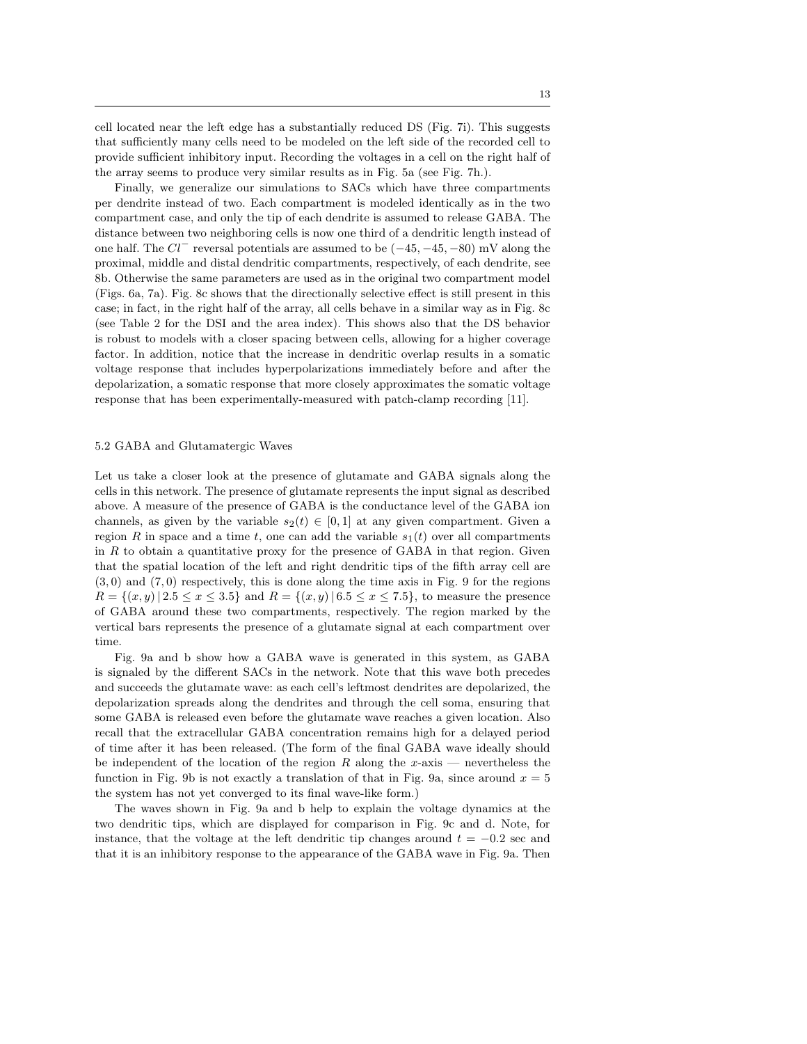cell located near the left edge has a substantially reduced DS (Fig. 7i). This suggests that sufficiently many cells need to be modeled on the left side of the recorded cell to provide sufficient inhibitory input. Recording the voltages in a cell on the right half of the array seems to produce very similar results as in Fig. 5a (see Fig. 7h.).

Finally, we generalize our simulations to SACs which have three compartments per dendrite instead of two. Each compartment is modeled identically as in the two compartment case, and only the tip of each dendrite is assumed to release GABA. The distance between two neighboring cells is now one third of a dendritic length instead of one half. The  $Cl^-$  reversal potentials are assumed to be  $(-45, -45, -80)$  mV along the proximal, middle and distal dendritic compartments, respectively, of each dendrite, see 8b. Otherwise the same parameters are used as in the original two compartment model (Figs. 6a, 7a). Fig. 8c shows that the directionally selective effect is still present in this case; in fact, in the right half of the array, all cells behave in a similar way as in Fig. 8c (see Table 2 for the DSI and the area index). This shows also that the DS behavior is robust to models with a closer spacing between cells, allowing for a higher coverage factor. In addition, notice that the increase in dendritic overlap results in a somatic voltage response that includes hyperpolarizations immediately before and after the depolarization, a somatic response that more closely approximates the somatic voltage response that has been experimentally-measured with patch-clamp recording [11].

#### 5.2 GABA and Glutamatergic Waves

Let us take a closer look at the presence of glutamate and GABA signals along the cells in this network. The presence of glutamate represents the input signal as described above. A measure of the presence of GABA is the conductance level of the GABA ion channels, as given by the variable  $s_2(t) \in [0, 1]$  at any given compartment. Given a region R in space and a time t, one can add the variable  $s_1(t)$  over all compartments in  $R$  to obtain a quantitative proxy for the presence of GABA in that region. Given that the spatial location of the left and right dendritic tips of the fifth array cell are  $(3,0)$  and  $(7,0)$  respectively, this is done along the time axis in Fig. 9 for the regions  $R = \{(x, y) | 2.5 \le x \le 3.5\}$  and  $R = \{(x, y) | 6.5 \le x \le 7.5\}$ , to measure the presence of GABA around these two compartments, respectively. The region marked by the vertical bars represents the presence of a glutamate signal at each compartment over time.

Fig. 9a and b show how a GABA wave is generated in this system, as GABA is signaled by the different SACs in the network. Note that this wave both precedes and succeeds the glutamate wave: as each cell's leftmost dendrites are depolarized, the depolarization spreads along the dendrites and through the cell soma, ensuring that some GABA is released even before the glutamate wave reaches a given location. Also recall that the extracellular GABA concentration remains high for a delayed period of time after it has been released. (The form of the final GABA wave ideally should be independent of the location of the region  $R$  along the  $x$ -axis — nevertheless the function in Fig. 9b is not exactly a translation of that in Fig. 9a, since around  $x = 5$ the system has not yet converged to its final wave-like form.)

The waves shown in Fig. 9a and b help to explain the voltage dynamics at the two dendritic tips, which are displayed for comparison in Fig. 9c and d. Note, for instance, that the voltage at the left dendritic tip changes around  $t = -0.2$  sec and that it is an inhibitory response to the appearance of the GABA wave in Fig. 9a. Then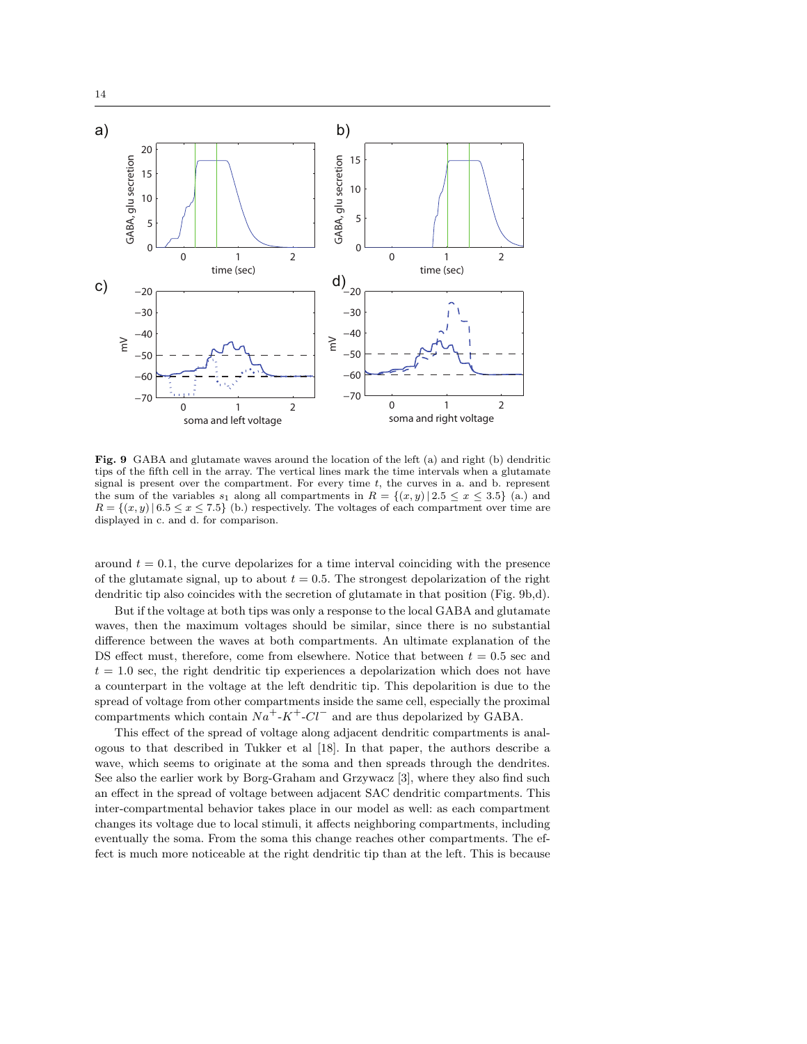

Fig. 9 GABA and glutamate waves around the location of the left (a) and right (b) dendritic tips of the fifth cell in the array. The vertical lines mark the time intervals when a glutamate signal is present over the compartment. For every time  $t$ , the curves in a. and b. represent the sum of the variables  $s_1$  along all compartments in  $R = \{(x, y) | 2.5 \le x \le 3.5\}$  (a.) and  $R = \{(x, y) | 6.5 \le x \le 7.5\}$  (b.) respectively. The voltages of each compartment over time are displayed in c. and d. for comparison.

around  $t = 0.1$ , the curve depolarizes for a time interval coinciding with the presence of the glutamate signal, up to about  $t = 0.5$ . The strongest depolarization of the right dendritic tip also coincides with the secretion of glutamate in that position (Fig. 9b,d).

But if the voltage at both tips was only a response to the local GABA and glutamate waves, then the maximum voltages should be similar, since there is no substantial difference between the waves at both compartments. An ultimate explanation of the DS effect must, therefore, come from elsewhere. Notice that between  $t = 0.5$  sec and  $t = 1.0$  sec, the right dendritic tip experiences a depolarization which does not have a counterpart in the voltage at the left dendritic tip. This depolarition is due to the spread of voltage from other compartments inside the same cell, especially the proximal compartments which contain  $Na^+$ - $K^+$ - $Cl^-$  and are thus depolarized by GABA.

This effect of the spread of voltage along adjacent dendritic compartments is analogous to that described in Tukker et al [18]. In that paper, the authors describe a wave, which seems to originate at the soma and then spreads through the dendrites. See also the earlier work by Borg-Graham and Grzywacz [3], where they also find such an effect in the spread of voltage between adjacent SAC dendritic compartments. This inter-compartmental behavior takes place in our model as well: as each compartment changes its voltage due to local stimuli, it affects neighboring compartments, including eventually the soma. From the soma this change reaches other compartments. The effect is much more noticeable at the right dendritic tip than at the left. This is because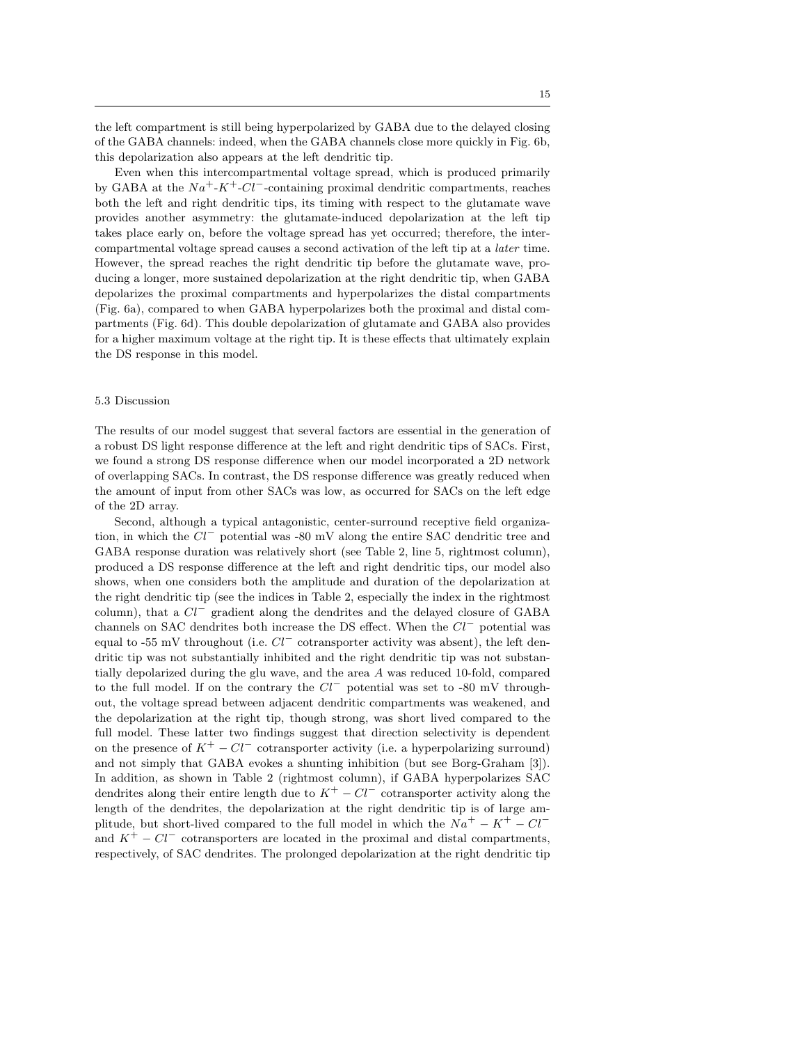the left compartment is still being hyperpolarized by GABA due to the delayed closing of the GABA channels: indeed, when the GABA channels close more quickly in Fig. 6b, this depolarization also appears at the left dendritic tip.

Even when this intercompartmental voltage spread, which is produced primarily by GABA at the  $Na^{+}$ - $K^{+}$ - $Cl^{-}$ -containing proximal dendritic compartments, reaches both the left and right dendritic tips, its timing with respect to the glutamate wave provides another asymmetry: the glutamate-induced depolarization at the left tip takes place early on, before the voltage spread has yet occurred; therefore, the intercompartmental voltage spread causes a second activation of the left tip at a later time. However, the spread reaches the right dendritic tip before the glutamate wave, producing a longer, more sustained depolarization at the right dendritic tip, when GABA depolarizes the proximal compartments and hyperpolarizes the distal compartments (Fig. 6a), compared to when GABA hyperpolarizes both the proximal and distal compartments (Fig. 6d). This double depolarization of glutamate and GABA also provides for a higher maximum voltage at the right tip. It is these effects that ultimately explain the DS response in this model.

## 5.3 Discussion

The results of our model suggest that several factors are essential in the generation of a robust DS light response difference at the left and right dendritic tips of SACs. First, we found a strong DS response difference when our model incorporated a 2D network of overlapping SACs. In contrast, the DS response difference was greatly reduced when the amount of input from other SACs was low, as occurred for SACs on the left edge of the 2D array.

Second, although a typical antagonistic, center-surround receptive field organization, in which the Cl<sup>−</sup> potential was -80 mV along the entire SAC dendritic tree and GABA response duration was relatively short (see Table 2, line 5, rightmost column), produced a DS response difference at the left and right dendritic tips, our model also shows, when one considers both the amplitude and duration of the depolarization at the right dendritic tip (see the indices in Table 2, especially the index in the rightmost column), that a Cl<sup>−</sup> gradient along the dendrites and the delayed closure of GABA channels on SAC dendrites both increase the DS effect. When the  $Cl^-$  potential was equal to -55 mV throughout (i.e.  $Cl^-$  cotransporter activity was absent), the left dendritic tip was not substantially inhibited and the right dendritic tip was not substantially depolarized during the glu wave, and the area A was reduced 10-fold, compared to the full model. If on the contrary the Cl<sup>−</sup> potential was set to -80 mV throughout, the voltage spread between adjacent dendritic compartments was weakened, and the depolarization at the right tip, though strong, was short lived compared to the full model. These latter two findings suggest that direction selectivity is dependent on the presence of  $K^+ - Cl^-$  cotransporter activity (i.e. a hyperpolarizing surround) and not simply that GABA evokes a shunting inhibition (but see Borg-Graham [3]). In addition, as shown in Table 2 (rightmost column), if GABA hyperpolarizes SAC dendrites along their entire length due to  $K^+ - Cl^-$  cotransporter activity along the length of the dendrites, the depolarization at the right dendritic tip is of large amplitude, but short-lived compared to the full model in which the  $Na^+ - K^+ - Cl^$ and  $K^+ - Cl^-$  cotransporters are located in the proximal and distal compartments, respectively, of SAC dendrites. The prolonged depolarization at the right dendritic tip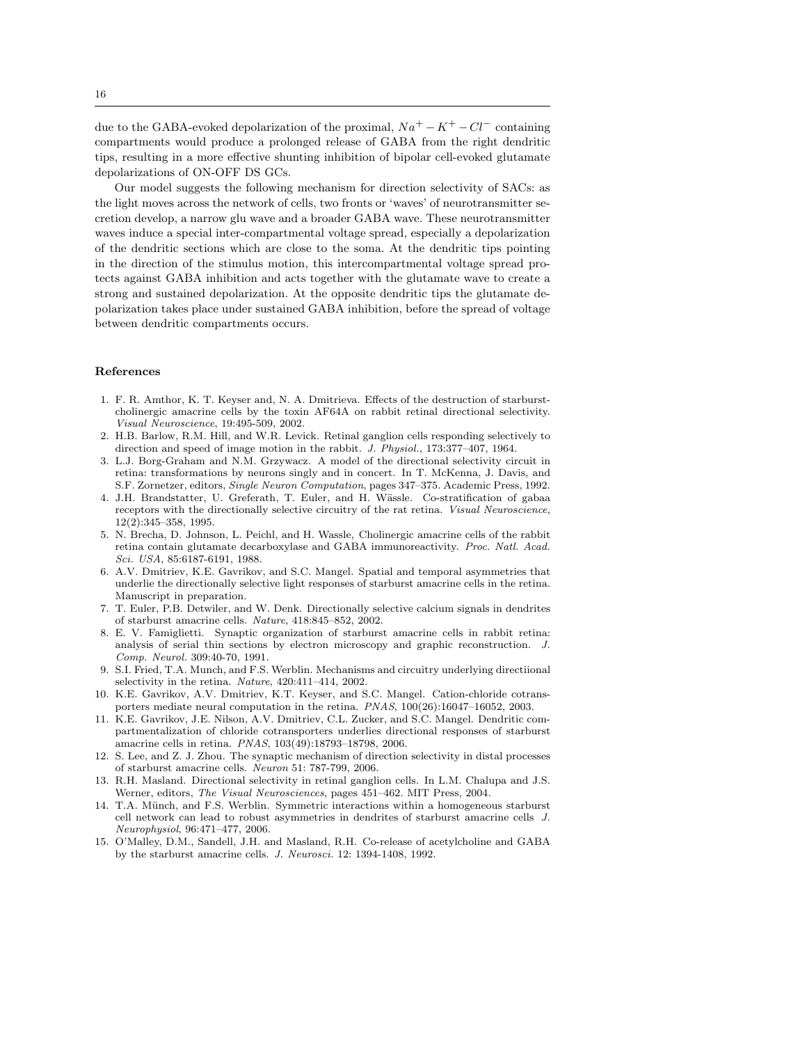due to the GABA-evoked depolarization of the proximal,  $Na^{+} - K^{+} - Cl^{-}$  containing compartments would produce a prolonged release of GABA from the right dendritic tips, resulting in a more effective shunting inhibition of bipolar cell-evoked glutamate depolarizations of ON-OFF DS GCs.

Our model suggests the following mechanism for direction selectivity of SACs: as the light moves across the network of cells, two fronts or 'waves' of neurotransmitter secretion develop, a narrow glu wave and a broader GABA wave. These neurotransmitter waves induce a special inter-compartmental voltage spread, especially a depolarization of the dendritic sections which are close to the soma. At the dendritic tips pointing in the direction of the stimulus motion, this intercompartmental voltage spread protects against GABA inhibition and acts together with the glutamate wave to create a strong and sustained depolarization. At the opposite dendritic tips the glutamate depolarization takes place under sustained GABA inhibition, before the spread of voltage between dendritic compartments occurs.

#### References

- 1. F. R. Amthor, K. T. Keyser and, N. A. Dmitrieva. Effects of the destruction of starburstcholinergic amacrine cells by the toxin AF64A on rabbit retinal directional selectivity. Visual Neuroscience, 19:495-509, 2002.
- 2. H.B. Barlow, R.M. Hill, and W.R. Levick. Retinal ganglion cells responding selectively to direction and speed of image motion in the rabbit. J. Physiol., 173:377-407, 1964.
- 3. L.J. Borg-Graham and N.M. Grzywacz. A model of the directional selectivity circuit in retina: transformations by neurons singly and in concert. In T. McKenna, J. Davis, and S.F. Zornetzer, editors, Single Neuron Computation, pages 347–375. Academic Press, 1992.
- 4. J.H. Brandstatter, U. Greferath, T. Euler, and H. Wässle. Co-stratification of gabaa receptors with the directionally selective circuitry of the rat retina. Visual Neuroscience, 12(2):345–358, 1995.
- 5. N. Brecha, D. Johnson, L. Peichl, and H. Wassle, Cholinergic amacrine cells of the rabbit retina contain glutamate decarboxylase and GABA immunoreactivity. Proc. Natl. Acad. Sci. USA, 85:6187-6191, 1988.
- 6. A.V. Dmitriev, K.E. Gavrikov, and S.C. Mangel. Spatial and temporal asymmetries that underlie the directionally selective light responses of starburst amacrine cells in the retina. Manuscript in preparation.
- 7. T. Euler, P.B. Detwiler, and W. Denk. Directionally selective calcium signals in dendrites of starburst amacrine cells. Nature, 418:845–852, 2002.
- 8. E. V. Famiglietti. Synaptic organization of starburst amacrine cells in rabbit retina: analysis of serial thin sections by electron microscopy and graphic reconstruction. J. Comp. Neurol. 309:40-70, 1991.
- 9. S.I. Fried, T.A. Munch, and F.S. Werblin. Mechanisms and circuitry underlying directiional selectivity in the retina.  $Nature$ ,  $420:411-414$ ,  $2002$ .
- 10. K.E. Gavrikov, A.V. Dmitriev, K.T. Keyser, and S.C. Mangel. Cation-chloride cotransporters mediate neural computation in the retina. PNAS, 100(26):16047–16052, 2003.
- 11. K.E. Gavrikov, J.E. Nilson, A.V. Dmitriev, C.L. Zucker, and S.C. Mangel. Dendritic compartmentalization of chloride cotransporters underlies directional responses of starburst amacrine cells in retina. PNAS, 103(49):18793–18798, 2006.
- 12. S. Lee, and Z. J. Zhou. The synaptic mechanism of direction selectivity in distal processes of starburst amacrine cells. Neuron 51: 787-799, 2006.
- 13. R.H. Masland. Directional selectivity in retinal ganglion cells. In L.M. Chalupa and J.S. Werner, editors, The Visual Neurosciences, pages 451-462. MIT Press, 2004.
- 14. T.A. Münch, and F.S. Werblin. Symmetric interactions within a homogeneous starburst cell network can lead to robust asymmetries in dendrites of starburst amacrine cells J. Neurophysiol, 96:471–477, 2006.
- 15. O'Malley, D.M., Sandell, J.H. and Masland, R.H. Co-release of acetylcholine and GABA by the starburst amacrine cells. J. Neurosci. 12: 1394-1408, 1992.